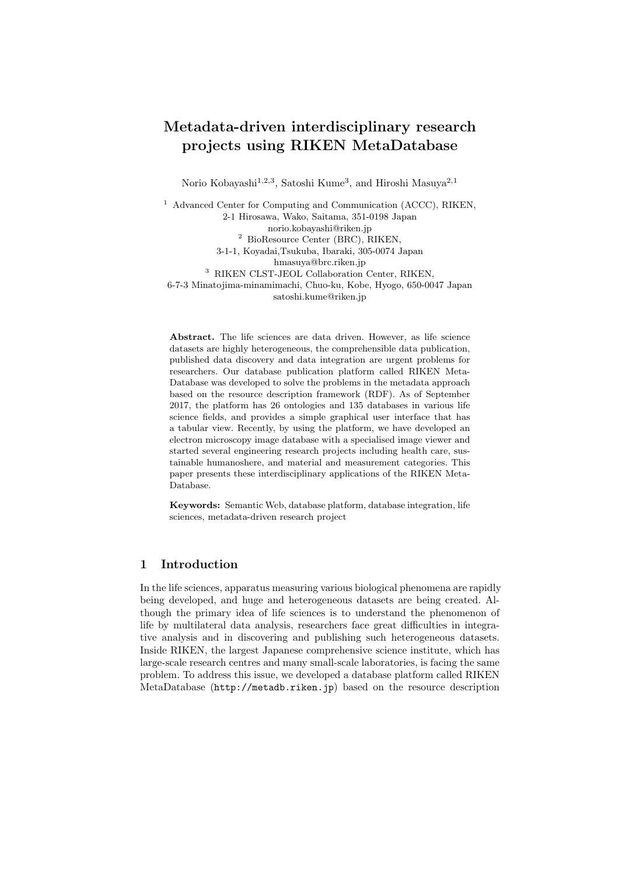## Metadata-driven interdisciplinary research projects using RIKEN MetaDatabase

Norio Kobayashi<sup>1,2,3</sup>, Satoshi Kume<sup>3</sup>, and Hiroshi Masuya<sup>2,1</sup>

<sup>1</sup> Advanced Center for Computing and Communication (ACCC), RIKEN, 2-1 Hirosawa, Wako, Saitama, 351-0198 Japan norio.kobayashi@riken.jp <sup>2</sup> BioResource Center (BRC), RIKEN, 3-1-1, Koyadai,Tsukuba, Ibaraki, 305-0074 Japan hmasuya@brc.riken.jp <sup>3</sup> RIKEN CLST-JEOL Collaboration Center, RIKEN, 6-7-3 Minatojima-minamimachi, Chuo-ku, Kobe, Hyogo, 650-0047 Japan satoshi.kume@riken.jp

Abstract. The life sciences are data driven. However, as life science datasets are highly heterogeneous, the comprehensible data publication, published data discovery and data integration are urgent problems for researchers. Our database publication platform called RIKEN Meta-Database was developed to solve the problems in the metadata approach based on the resource description framework (RDF). As of September 2017, the platform has 26 ontologies and 135 databases in various life science fields, and provides a simple graphical user interface that has a tabular view. Recently, by using the platform, we have developed an electron microscopy image database with a specialised image viewer and started several engineering research projects including health care, sustainable humanoshere, and material and measurement categories. This paper presents these interdisciplinary applications of the RIKEN Meta-Database.

Keywords: Semantic Web, database platform, database integration, life sciences, metadata-driven research project

## 1 Introduction

In the life sciences, apparatus measuring various biological phenomena are rapidly being developed, and huge and heterogeneous datasets are being created. Although the primary idea of life sciences is to understand the phenomenon of life by multilateral data analysis, researchers face great difficulties in integrative analysis and in discovering and publishing such heterogeneous datasets. Inside RIKEN, the largest Japanese comprehensive science institute, which has large-scale research centres and many small-scale laboratories, is facing the same problem. To address this issue, we developed a database platform called RIKEN MetaDatabase (http://metadb.riken.jp) based on the resource description